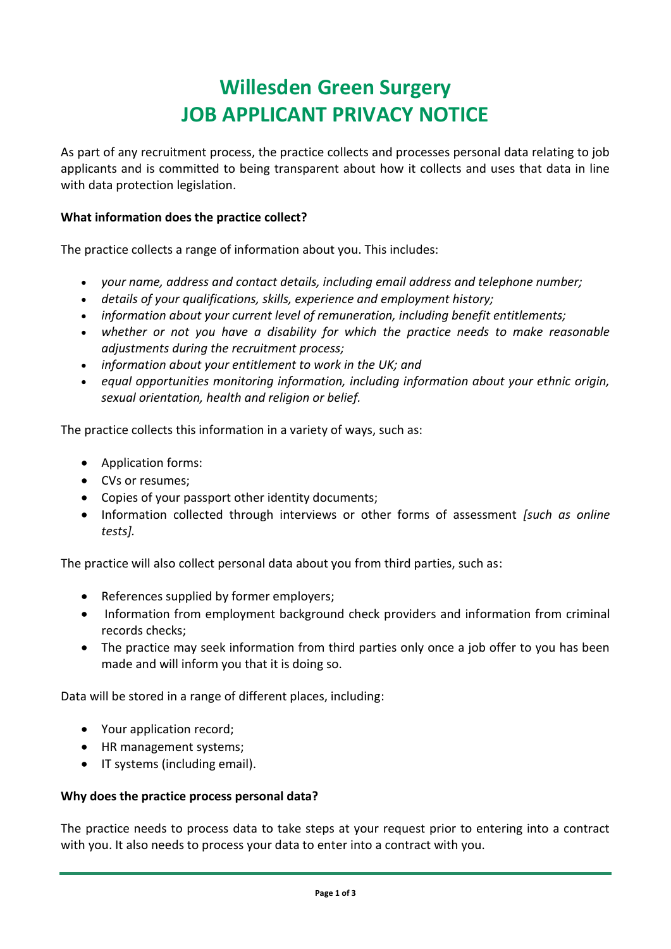# **Willesden Green Surgery JOB APPLICANT PRIVACY NOTICE**

As part of any recruitment process, the practice collects and processes personal data relating to job applicants and is committed to being transparent about how it collects and uses that data in line with data protection legislation.

# **What information does the practice collect?**

The practice collects a range of information about you. This includes:

- *your name, address and contact details, including email address and telephone number;*
- *details of your qualifications, skills, experience and employment history;*
- *information about your current level of remuneration, including benefit entitlements;*
- *whether or not you have a disability for which the practice needs to make reasonable adjustments during the recruitment process;*
- *information about your entitlement to work in the UK; and*
- *equal opportunities monitoring information, including information about your ethnic origin, sexual orientation, health and religion or belief.*

The practice collects this information in a variety of ways, such as:

- Application forms:
- CVs or resumes;
- Copies of your passport other identity documents;
- Information collected through interviews or other forms of assessment *[such as online tests].*

The practice will also collect personal data about you from third parties, such as:

- References supplied by former employers;
- Information from employment background check providers and information from criminal records checks;
- The practice may seek information from third parties only once a job offer to you has been made and will inform you that it is doing so.

Data will be stored in a range of different places, including:

- Your application record;
- HR management systems;
- **IF systems (including email).**

## **Why does the practice process personal data?**

The practice needs to process data to take steps at your request prior to entering into a contract with you. It also needs to process your data to enter into a contract with you.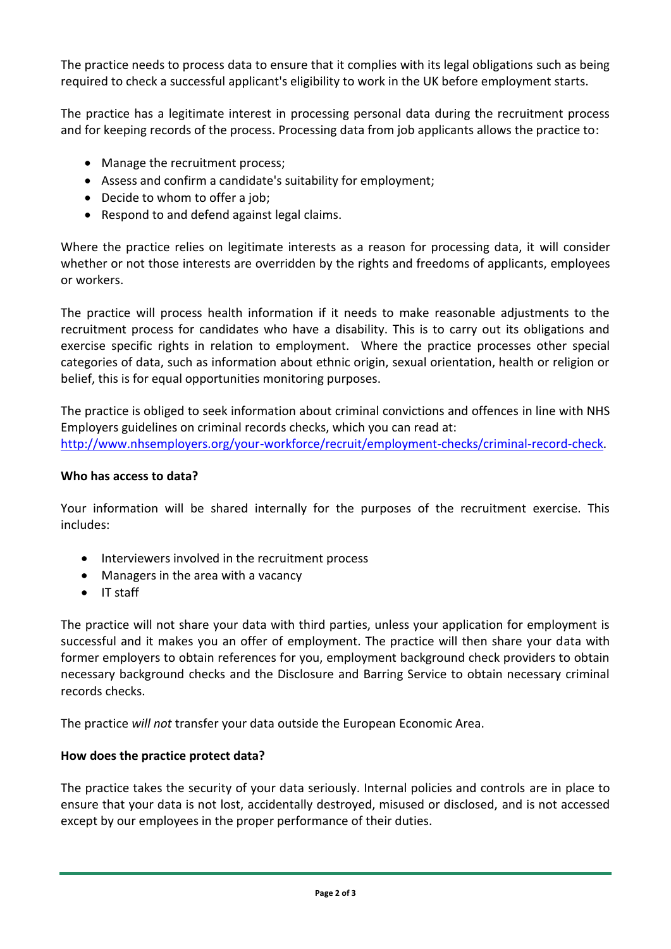The practice needs to process data to ensure that it complies with its legal obligations such as being required to check a successful applicant's eligibility to work in the UK before employment starts.

The practice has a legitimate interest in processing personal data during the recruitment process and for keeping records of the process. Processing data from job applicants allows the practice to:

- Manage the recruitment process;
- Assess and confirm a candidate's suitability for employment;
- Decide to whom to offer a job;
- Respond to and defend against legal claims.

Where the practice relies on legitimate interests as a reason for processing data, it will consider whether or not those interests are overridden by the rights and freedoms of applicants, employees or workers.

The practice will process health information if it needs to make reasonable adjustments to the recruitment process for candidates who have a disability. This is to carry out its obligations and exercise specific rights in relation to employment. Where the practice processes other special categories of data, such as information about ethnic origin, sexual orientation, health or religion or belief, this is for equal opportunities monitoring purposes.

The practice is obliged to seek information about criminal convictions and offences in line with NHS Employers guidelines on criminal records checks, which you can read at: [http://www.nhsemployers.org/your-workforce/recruit/employment-checks/criminal-record-check.](http://www.nhsemployers.org/your-workforce/recruit/employment-checks/criminal-record-check)

#### **Who has access to data?**

Your information will be shared internally for the purposes of the recruitment exercise. This includes:

- Interviewers involved in the recruitment process
- Managers in the area with a vacancy
- $\bullet$  IT staff

The practice will not share your data with third parties, unless your application for employment is successful and it makes you an offer of employment. The practice will then share your data with former employers to obtain references for you, employment background check providers to obtain necessary background checks and the Disclosure and Barring Service to obtain necessary criminal records checks.

The practice *will not* transfer your data outside the European Economic Area.

## **How does the practice protect data?**

The practice takes the security of your data seriously. Internal policies and controls are in place to ensure that your data is not lost, accidentally destroyed, misused or disclosed, and is not accessed except by our employees in the proper performance of their duties.